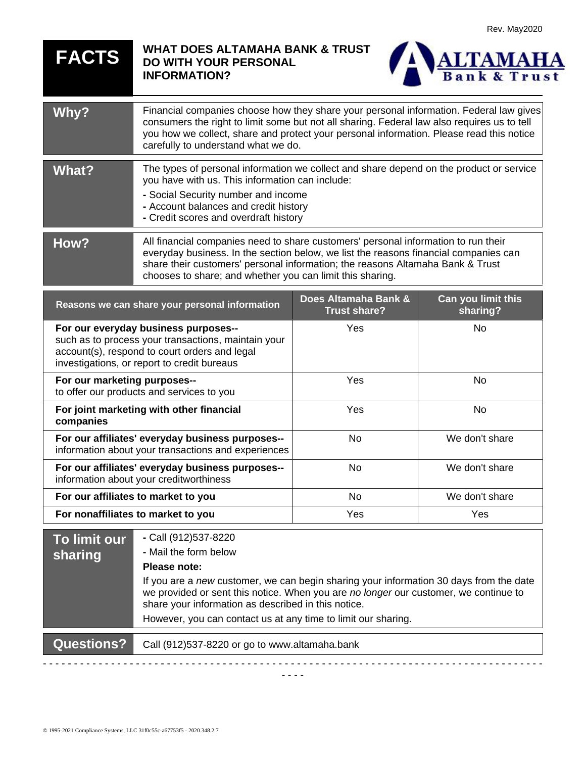| <b>FACTS</b> | <b>WHAT DOES ALTAMAHA BANK &amp; TRUST</b><br><b>ALTAMAHA</b><br>DO WITH YOUR PERSONAL<br><b>INFORMATION?</b>                                                                                                                                                                                                             |  |
|--------------|---------------------------------------------------------------------------------------------------------------------------------------------------------------------------------------------------------------------------------------------------------------------------------------------------------------------------|--|
| <b>Whv?</b>  | Financial companies choose how they share your personal information. Federal law gives<br>consumers the right to limit some but not all sharing. Federal law also requires us to tell<br>you how we collect, share and protect your personal information. Please read this notice<br>carefully to understand what we do.  |  |
| <b>What?</b> | The types of personal information we collect and share depend on the product or service<br>you have with us. This information can include:<br>- Social Security number and income<br>- Account balances and credit history<br>- Credit scores and overdraft history                                                       |  |
| How?         | All financial companies need to share customers' personal information to run their<br>everyday business. In the section below, we list the reasons financial companies can<br>share their customers' personal information; the reasons Altamaha Bank & Trust<br>chooses to share; and whether you can limit this sharing. |  |

| Reasons we can share your personal information                                                                                                                                              | Does Altamaha Bank &<br><b>Trust share?</b> | Can you limit this<br>sharing? |
|---------------------------------------------------------------------------------------------------------------------------------------------------------------------------------------------|---------------------------------------------|--------------------------------|
| For our everyday business purposes--<br>such as to process your transactions, maintain your<br>account(s), respond to court orders and legal<br>investigations, or report to credit bureaus | Yes                                         | No.                            |
| For our marketing purposes--<br>to offer our products and services to you                                                                                                                   | Yes                                         | No.                            |
| For joint marketing with other financial<br>companies                                                                                                                                       | Yes                                         | No.                            |
| For our affiliates' everyday business purposes--<br>information about your transactions and experiences                                                                                     | No                                          | We don't share                 |
| For our affiliates' everyday business purposes--<br>information about your creditworthiness                                                                                                 | No.                                         | We don't share                 |
| For our affiliates to market to you                                                                                                                                                         | <b>No</b>                                   | We don't share                 |
| For nonaffiliates to market to you                                                                                                                                                          | <b>Yes</b>                                  | Yes                            |

| To limit our l<br>sharing | - Call (912)537-8220<br>- Mail the form below<br>Please note:                                                                                                                                                                         |
|---------------------------|---------------------------------------------------------------------------------------------------------------------------------------------------------------------------------------------------------------------------------------|
|                           | If you are a new customer, we can begin sharing your information 30 days from the date<br>we provided or sent this notice. When you are no longer our customer, we continue to<br>share your information as described in this notice. |
|                           | However, you can contact us at any time to limit our sharing.                                                                                                                                                                         |
| <b>Questions?</b>         | Call (912)537-8220 or go to www.altamaha.bank                                                                                                                                                                                         |
|                           |                                                                                                                                                                                                                                       |

- - - -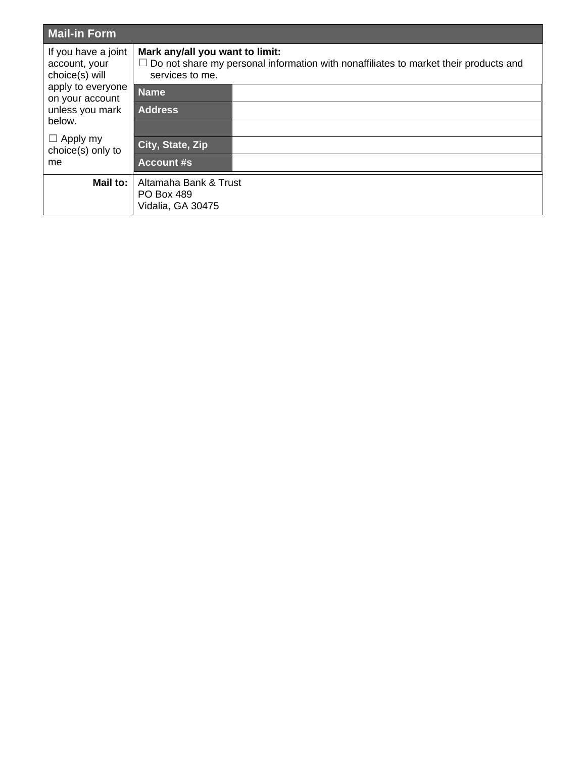| Mail-in Form                                                                                                                                                              |                                                                                                                                                   |  |
|---------------------------------------------------------------------------------------------------------------------------------------------------------------------------|---------------------------------------------------------------------------------------------------------------------------------------------------|--|
| If you have a joint<br>account, your<br>choice(s) will<br>apply to everyone<br>on your account<br>unless you mark<br>below.<br>$\Box$ Apply my<br>choice(s) only to<br>me | Mark any/all you want to limit:<br>$\Box$ Do not share my personal information with nonaffiliates to market their products and<br>services to me. |  |
|                                                                                                                                                                           | <b>Name</b>                                                                                                                                       |  |
|                                                                                                                                                                           | <b>Address</b>                                                                                                                                    |  |
|                                                                                                                                                                           | City, State, Zip                                                                                                                                  |  |
|                                                                                                                                                                           | <b>Account #s</b>                                                                                                                                 |  |
| Mail to:                                                                                                                                                                  | Altamaha Bank & Trust<br><b>PO Box 489</b><br>Vidalia, GA 30475                                                                                   |  |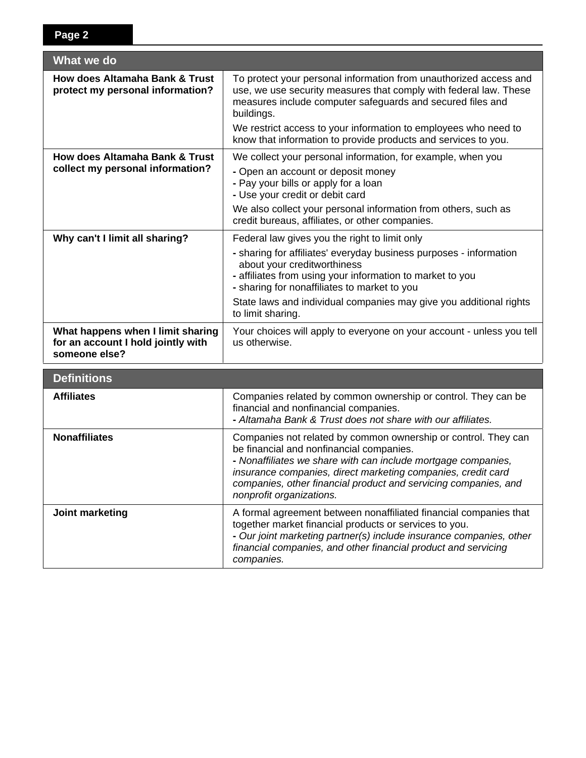| What we do                                                                               |                                                                                                                                                                                                                                                                                                                                                            |  |  |  |
|------------------------------------------------------------------------------------------|------------------------------------------------------------------------------------------------------------------------------------------------------------------------------------------------------------------------------------------------------------------------------------------------------------------------------------------------------------|--|--|--|
| <b>How does Altamaha Bank &amp; Trust</b><br>protect my personal information?            | To protect your personal information from unauthorized access and<br>use, we use security measures that comply with federal law. These<br>measures include computer safeguards and secured files and<br>buildings.                                                                                                                                         |  |  |  |
|                                                                                          | We restrict access to your information to employees who need to<br>know that information to provide products and services to you.                                                                                                                                                                                                                          |  |  |  |
| <b>How does Altamaha Bank &amp; Trust</b><br>collect my personal information?            | We collect your personal information, for example, when you<br>- Open an account or deposit money<br>- Pay your bills or apply for a loan<br>- Use your credit or debit card<br>We also collect your personal information from others, such as<br>credit bureaus, affiliates, or other companies.                                                          |  |  |  |
| Why can't I limit all sharing?                                                           | Federal law gives you the right to limit only<br>- sharing for affiliates' everyday business purposes - information<br>about your creditworthiness<br>- affiliates from using your information to market to you<br>- sharing for nonaffiliates to market to you<br>State laws and individual companies may give you additional rights<br>to limit sharing. |  |  |  |
| What happens when I limit sharing<br>for an account I hold jointly with<br>someone else? | Your choices will apply to everyone on your account - unless you tell<br>us otherwise.                                                                                                                                                                                                                                                                     |  |  |  |
| <b>Definitions</b>                                                                       |                                                                                                                                                                                                                                                                                                                                                            |  |  |  |
| <b>Affiliates</b>                                                                        | Companies related by common ownership or control. They can be<br>financial and nonfinancial companies.<br>- Altamaha Bank & Trust does not share with our affiliates.                                                                                                                                                                                      |  |  |  |
| <b>Nonaffiliates</b>                                                                     | Companies not related by common ownership or control. They can<br>be financial and nonfinancial companies.<br>- Nonaffiliates we share with can include mortgage companies,<br>insurance companies, direct marketing companies, credit card<br>companies, other financial product and servicing companies, and<br>nonprofit organizations.                 |  |  |  |
| Joint marketing                                                                          | A formal agreement between nonaffiliated financial companies that<br>together market financial products or services to you.<br>- Our joint marketing partner(s) include insurance companies, other<br>financial companies, and other financial product and servicing<br>companies.                                                                         |  |  |  |